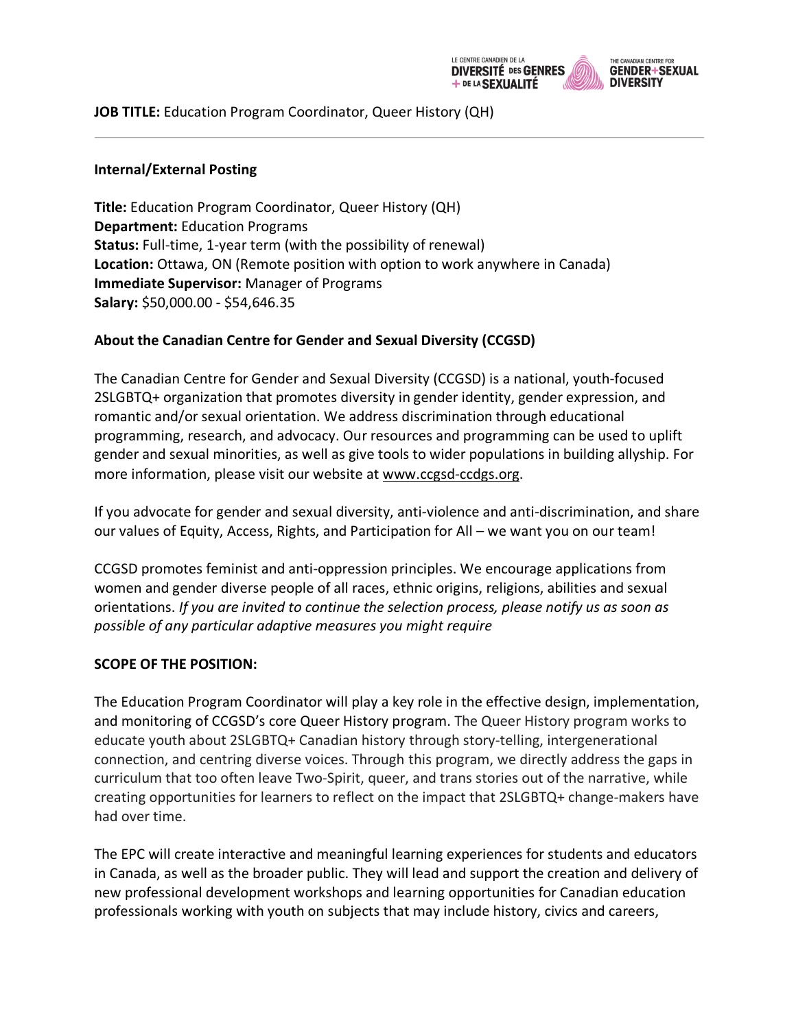

**JOB TITLE:** Education Program Coordinator, Queer History (QH)

#### **Internal/External Posting**

**Title:** Education Program Coordinator, Queer History (QH) **Department:** Education Programs **Status:** Full-time, 1-year term (with the possibility of renewal) **Location:** Ottawa, ON (Remote position with option to work anywhere in Canada) **Immediate Supervisor:** Manager of Programs **Salary:** \$50,000.00 - \$54,646.35

### **About the Canadian Centre for Gender and Sexual Diversity (CCGSD)**

The Canadian Centre for Gender and Sexual Diversity (CCGSD) is a national, youth-focused 2SLGBTQ+ organization that promotes diversity in gender identity, gender expression, and romantic and/or sexual orientation. We address discrimination through educational programming, research, and advocacy. Our resources and programming can be used to uplift gender and sexual minorities, as well as give tools to wider populations in building allyship. For more information, please visit our website at www.ccgsd-ccdgs.org.

If you advocate for gender and sexual diversity, anti-violence and anti-discrimination, and share our values of Equity, Access, Rights, and Participation for All – we want you on our team!

CCGSD promotes feminist and anti-oppression principles. We encourage applications from women and gender diverse people of all races, ethnic origins, religions, abilities and sexual orientations. *If you are invited to continue the selection process, please notify us as soon as possible of any particular adaptive measures you might require*

### **SCOPE OF THE POSITION:**

The Education Program Coordinator will play a key role in the effective design, implementation, and monitoring of CCGSD's core Queer History program. The Queer History program works to educate youth about 2SLGBTQ+ Canadian history through story-telling, intergenerational connection, and centring diverse voices. Through this program, we directly address the gaps in curriculum that too often leave Two-Spirit, queer, and trans stories out of the narrative, while creating opportunities for learners to reflect on the impact that 2SLGBTQ+ change-makers have had over time.

The EPC will create interactive and meaningful learning experiences for students and educators in Canada, as well as the broader public. They will lead and support the creation and delivery of new professional development workshops and learning opportunities for Canadian education professionals working with youth on subjects that may include history, civics and careers,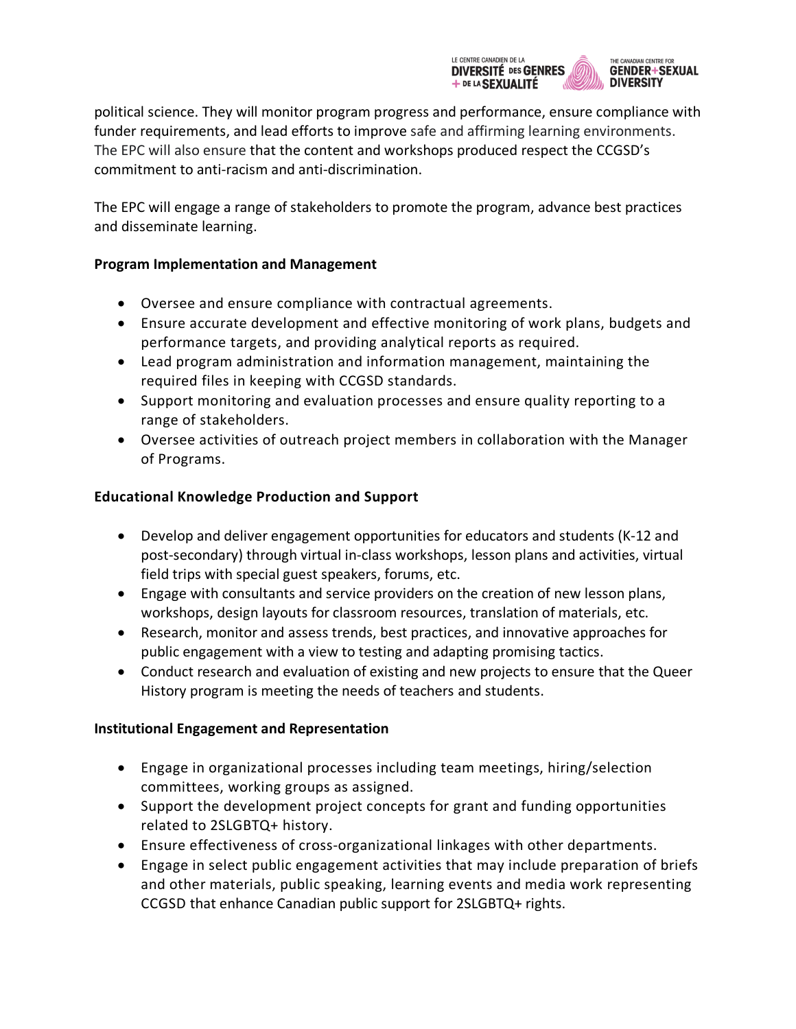

political science. They will monitor program progress and performance, ensure compliance with funder requirements, and lead efforts to improve safe and affirming learning environments. The EPC will also ensure that the content and workshops produced respect the CCGSD's commitment to anti-racism and anti-discrimination.

The EPC will engage a range of stakeholders to promote the program, advance best practices and disseminate learning.

## **Program Implementation and Management**

- Oversee and ensure compliance with contractual agreements.
- Ensure accurate development and effective monitoring of work plans, budgets and performance targets, and providing analytical reports as required.
- Lead program administration and information management, maintaining the required files in keeping with CCGSD standards.
- Support monitoring and evaluation processes and ensure quality reporting to a range of stakeholders.
- Oversee activities of outreach project members in collaboration with the Manager of Programs.

# **Educational Knowledge Production and Support**

- Develop and deliver engagement opportunities for educators and students (K-12 and post-secondary) through virtual in-class workshops, lesson plans and activities, virtual field trips with special guest speakers, forums, etc.
- Engage with consultants and service providers on the creation of new lesson plans, workshops, design layouts for classroom resources, translation of materials, etc.
- Research, monitor and assess trends, best practices, and innovative approaches for public engagement with a view to testing and adapting promising tactics.
- Conduct research and evaluation of existing and new projects to ensure that the Queer History program is meeting the needs of teachers and students.

# **Institutional Engagement and Representation**

- Engage in organizational processes including team meetings, hiring/selection committees, working groups as assigned.
- Support the development project concepts for grant and funding opportunities related to 2SLGBTQ+ history.
- Ensure effectiveness of cross-organizational linkages with other departments.
- Engage in select public engagement activities that may include preparation of briefs and other materials, public speaking, learning events and media work representing CCGSD that enhance Canadian public support for 2SLGBTQ+ rights.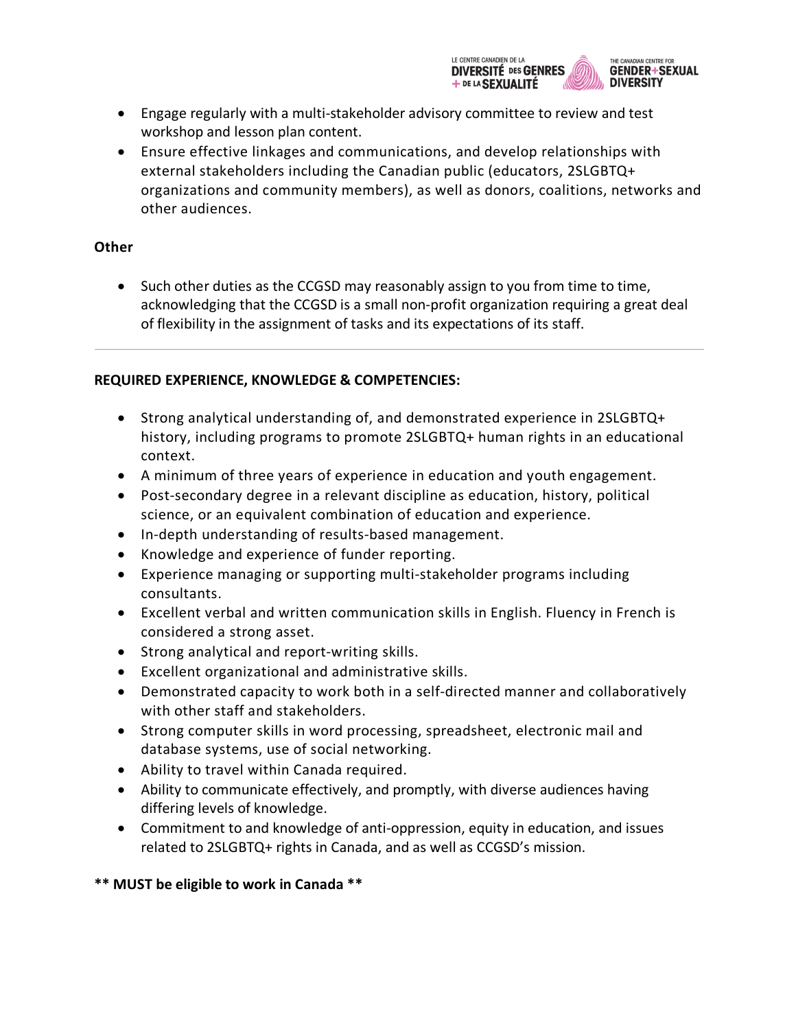

- Engage regularly with a multi-stakeholder advisory committee to review and test workshop and lesson plan content.
- Ensure effective linkages and communications, and develop relationships with external stakeholders including the Canadian public (educators, 2SLGBTQ+ organizations and community members), as well as donors, coalitions, networks and other audiences.

### **Other**

• Such other duties as the CCGSD may reasonably assign to you from time to time, acknowledging that the CCGSD is a small non-profit organization requiring a great deal of flexibility in the assignment of tasks and its expectations of its staff.

## **REQUIRED EXPERIENCE, KNOWLEDGE & COMPETENCIES:**

- Strong analytical understanding of, and demonstrated experience in 2SLGBTQ+ history, including programs to promote 2SLGBTQ+ human rights in an educational context.
- A minimum of three years of experience in education and youth engagement.
- Post-secondary degree in a relevant discipline as education, history, political science, or an equivalent combination of education and experience.
- In-depth understanding of results-based management.
- Knowledge and experience of funder reporting.
- Experience managing or supporting multi-stakeholder programs including consultants.
- Excellent verbal and written communication skills in English. Fluency in French is considered a strong asset.
- Strong analytical and report-writing skills.
- Excellent organizational and administrative skills.
- Demonstrated capacity to work both in a self-directed manner and collaboratively with other staff and stakeholders.
- Strong computer skills in word processing, spreadsheet, electronic mail and database systems, use of social networking.
- Ability to travel within Canada required.
- Ability to communicate effectively, and promptly, with diverse audiences having differing levels of knowledge.
- Commitment to and knowledge of anti-oppression, equity in education, and issues related to 2SLGBTQ+ rights in Canada, and as well as CCGSD's mission.

**\*\* MUST be eligible to work in Canada \*\***